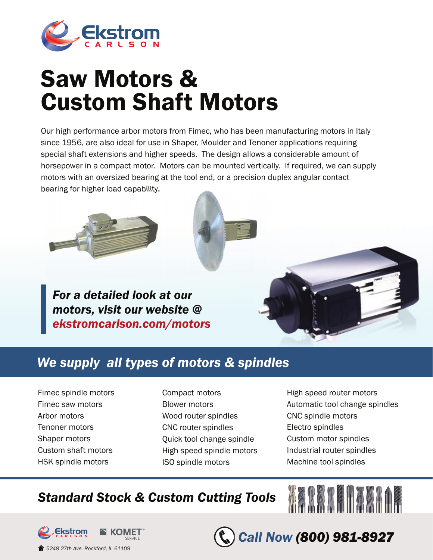

## Saw Motors & Custom Shaft Motors

Our high performance arbor motors from Fimec, who has been manufacturing motors in Italy since 1956, are also ideal for use in Shaper, Moulder and Tenoner applications requiring special shaft extensions and higher speeds. The design allows a considerable amount of horsepower in a compact motor. Motors can be mounted vertically. If required, we can supply motors with an oversized bearing at the tool end, or a precision duplex angular contact bearing for higher load capability.



*For a detailed look at our motors, visit our website @ ekstromcarlson.com/motors*



## *We supply all types of motors & spindles*

- Fimec spindle motors Fimec saw motors Arbor motors Tenoner motors Shaper motors Custom shaft motors HSK spindle motors
- Compact motors Blower motors Wood router spindles CNC router spindles Quick tool change spindle High speed spindle motors ISO spindle motors
- High speed router motors Automatic tool change spindles CNC spindle motors Electro spindles Custom motor spindles Industrial router spindles Machine tool spindles

AARARAHAARI

*Call Now (800) 981-8927*

## *Standard Stock & Custom Cutting Tools*